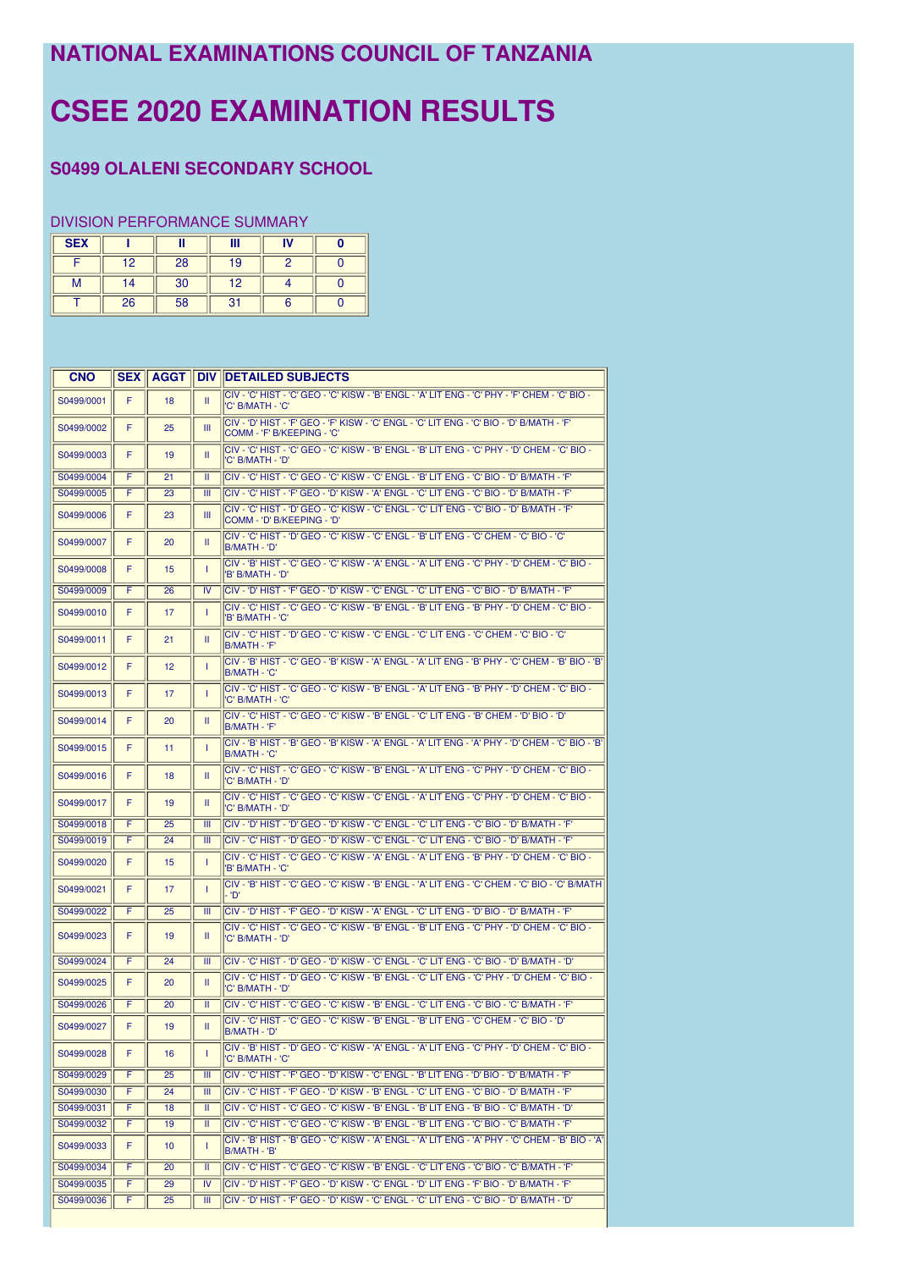## NATIONAL EXAMINATIONS COUNCIL OF TANZANIA

## **CSEE 2020 EXAMINATION RESULTS**

## **S0499 OLALENI SECONDARY SCHOOL**

## **DIVISION PERFORMANCE SUMMARY**

| <b>SEX</b> |    | Ш  | Ш  | IV |  |
|------------|----|----|----|----|--|
|            | 12 | 28 | 19 |    |  |
| м          | 14 | 30 | 12 |    |  |
|            | 26 | 58 | 31 |    |  |

| <b>CNO</b> | <b>SEX</b> | <b>AGGT</b>     |                  | <b>DIV IDETAILED SUBJECTS</b>                                                                                           |
|------------|------------|-----------------|------------------|-------------------------------------------------------------------------------------------------------------------------|
| S0499/0001 | F          | 18              | Ш                | CIV - 'C' HIST - 'C' GEO - 'C' KISW - 'B' ENGL - 'A' LIT ENG - 'C' PHY - 'F' CHEM - 'C' BIO -<br>'C' B/MATH - 'C'       |
| S0499/0002 | F          | 25              | Ш                | CIV - 'D' HIST - 'F' GEO - 'F' KISW - 'C' ENGL - 'C' LIT ENG - 'C' BIO - 'D' B/MATH - 'F'<br>COMM - 'F' B/KEEPING - 'C' |
| S0499/0003 | F          | 19              | Ш                | CIV - 'C' HIST - 'C' GEO - 'C' KISW - 'B' ENGL - 'B' LIT ENG - 'C' PHY - 'D' CHEM - 'C' BIO -<br>'C' B/MATH - 'D'       |
| S0499/0004 | F          | 21              | Ш                | CIV - 'C' HIST - 'C' GEO - 'C' KISW - 'C' ENGL - 'B' LIT ENG - 'C' BIO - 'D' B/MATH - 'F'                               |
| S0499/0005 | F          | 23              | $\overline{III}$ | CIV - 'C' HIST - 'F' GEO - 'D' KISW - 'A' ENGL - 'C' LIT ENG - 'C' BIO - 'D' B/MATH - 'F'                               |
| S0499/0006 | F          | 23              | Ш                | CIV - 'C' HIST - 'D' GEO - 'C' KISW - 'C' ENGL - 'C' LIT ENG - 'C' BIO - 'D' B/MATH - 'F'<br>COMM - 'D' B/KEEPING - 'D' |
| S0499/0007 | F          | 20              | Ш.               | CIV - 'C' HIST - 'D' GEO - 'C' KISW - 'C' ENGL - 'B' LIT ENG - 'C' CHEM - 'C' BIO - 'C'<br>B/MATH - 'D'                 |
| S0499/0008 | F          | 15              | T                | - CIV - 'B' HIST - 'C' GEO - 'C' KISW - 'A' ENGL - 'A' LIT ENG - 'C' PHY - 'D' CHEM - 'C' BIO<br>'B' B/MATH - 'D'       |
| S0499/0009 | Ŧ          | 26              | $\overline{N}$   | CIV - 'D' HIST - 'F' GEO - 'D' KISW - 'C' ENGL - 'C' LIT ENG - 'C' BIO - 'D' B/MATH - 'F'                               |
| S0499/0010 | F          | 17              | T                | CIV - 'C' HIST - 'C' GEO - 'C' KISW - 'B' ENGL - 'B' LIT ENG - 'B' PHY - 'D' CHEM - 'C' BIO -<br>'B' B/MATH - 'C'       |
| S0499/0011 | F          | 21              | Ш                | CIV - 'C' HIST - 'D' GEO - 'C' KISW - 'C' ENGL - 'C' LIT ENG - 'C' CHEM - 'C' BIO - 'C'<br>B/MATH - 'F'                 |
| S0499/0012 | F          | 12              | T                | 'GIV - 'B' HIST - 'C' GEO - 'B' KISW - 'A' ENGL - 'A' LIT ENG - 'B' PHY - 'C' CHEM - 'B' BIO - 'B'<br>B/MATH - 'C'      |
| S0499/0013 | F          | 17              | T                | CIV - 'C' HIST - 'C' GEO - 'C' KISW - 'B' ENGL - 'A' LIT ENG - 'B' PHY - 'D' CHEM - 'C' BIO -<br>'C' B/MATH - 'C'       |
| S0499/0014 | F          | 20              | Ш                | <sup>1</sup> C' HIST - 'C' GEO - 'C' KISW - 'B' ENGL - 'C' LIT ENG - 'B' CHEM - 'D' BIO - 'D'<br>B/MATH - 'F'           |
| S0499/0015 | F          | 11              | T                | (CIV - 'B' HIST - 'B' GEO - 'B' KISW - 'A' ENGL - 'A' LIT ENG - 'A' PHY - 'D' CHEM - 'C' BIO - 'B'<br>B/MATH - 'C'      |
| S0499/0016 | F          | 18              | Ш                | CIV - 'C' HIST - 'C' GEO - 'C' KISW - 'B' ENGL - 'A' LIT ENG - 'C' PHY - 'D' CHEM - 'C' BIO -<br>'C' B/MATH - 'D'       |
| S0499/0017 | F          | 19              | Ш                | CIV - 'C' HIST - 'C' GEO - 'C' KISW - 'C' ENGL - 'A' LIT ENG - 'C' PHY - 'D' CHEM - 'C' BIO -<br>'C' B/MATH - 'D'       |
| S0499/0018 | F          | 25              | Ш                | CIV - 'D' HIST - 'D' GEO - 'D' KISW - 'C' ENGL - 'C' LIT ENG - 'C' BIO - 'D' B/MATH - 'F'                               |
| S0499/0019 | F          | 24              | Ш                | CIV - 'C' HIST - 'D' GEO - 'D' KISW - 'C' ENGL - 'C' LIT ENG - 'C' BIO - 'D' B/MATH - 'F'                               |
| S0499/0020 | F          | 15              | T                | - C'HIST - 'C' GEO - 'C' KISW - 'A' ENGL - 'A' LIT ENG - 'B' PHY - 'D' CHEM - 'C' BIO<br>'B' B/MATH - 'C'               |
| S0499/0021 | F          | 17              | T                | CIV - 'B' HIST - 'C' GEO - 'C' KISW - 'B' ENGL - 'A' LIT ENG - 'C' CHEM - 'C' BIO - 'C' B/MATH<br>- 'D'                 |
| S0499/0022 | F          | 25              | Ш                | 'E' CIV - 'D' HIST - 'F' GEO - 'D' KISW - 'A' ENGL - 'C' LIT ENG - 'D' BIO - 'D' B/MATH - 'F                            |
| S0499/0023 | F          | 19              | Ш                | CIV - 'C' HIST - 'C' GEO - 'C' KISW - 'B' ENGL - 'B' LIT ENG - 'C' PHY - 'D' CHEM - 'C' BIO -<br>'C' B/MATH - 'D'       |
| S0499/0024 | F          | 24              | Ш                | 'D' + 'C' HIST - 'D' GEO - 'D' KISW - 'C' ENGL - 'C' LIT ENG - 'C' BIO - 'D' B/MATH - 'D                                |
| S0499/0025 | F          | 20              | Ш                | CIV - 'C' HIST - 'D' GEO - 'C' KISW - 'B' ENGL - 'C' LIT ENG - 'C' PHY - 'D' CHEM - 'C' BIO -<br>'C' B/MATH - 'D'       |
| S0499/0026 | F          | 20              | Ш                | CIV - 'C' HIST - 'C' GEO - 'C' KISW - 'B' ENGL - 'C' LIT ENG - 'C' BIO - 'C' B/MATH - 'F'                               |
| S0499/0027 | F          | 19              | Ш                | CIV - 'C' HIST - 'C' GEO - 'C' KISW - 'B' ENGL - 'B' LIT ENG - 'C' CHEM - 'C' BIO - 'D'<br>IB/MATH - 'D'                |
| S0499/0028 | F          | 16              | T                | CIV - 'B' HIST - 'D' GEO - 'C' KISW - 'A' ENGL - 'A' LIT ENG - 'C' PHY - 'D' CHEM - 'C' BIO -<br>'C' B/MATH - 'C'       |
| S0499/0029 | F          | $\overline{25}$ | Ш                | CIV - 'C' HIST - 'F' GEO - 'D' KISW - 'C' ENGL - 'B' LIT ENG - 'D' BIO - 'D' B/MATH - 'F'                               |
| S0499/0030 | F          | 24              | Ш                | CIV - 'C' HIST - 'F' GEO - 'D' KISW - 'B' ENGL - 'C' LIT ENG - 'C' BIO - 'D' B/MATH - 'F'                               |
| S0499/0031 | F          | 18              | Ш                | CIV - 'C' HIST - 'C' GEO - 'C' KISW - 'B' ENGL - 'B' LIT ENG - 'B' BIO - 'C' B/MATH - 'D'                               |
| S0499/0032 | F          | 19              | Ш                | CIV - 'C' HIST - 'C' GEO - 'C' KISW - 'B' ENGL - 'B' LIT ENG - 'C' BIO - 'C' B/MATH - 'F'                               |
| S0499/0033 | F          | 10              | T                | CIV - 'B' HIST - 'B' GEO - 'C' KISW - 'A' ENGL - 'A' LIT ENG - 'A' PHY - 'C' CHEM - 'B' BIO - 'A'<br>B/MATH - 'B'       |
| S0499/0034 | F          | 20              | π                | CIV - 'C' HIST - 'C' GEO - 'C' KISW - 'B' ENGL - 'C' LIT ENG - 'C' BIO - 'C' B/MATH - 'F'                               |
| S0499/0035 | F          | 29              | IV               | CIV - 'D' HIST - 'F' GEO - 'D' KISW - 'C' ENGL - 'D' LIT ENG - 'F' BIO - 'D' B/MATH - 'F'                               |
| S0499/0036 | F          | 25              | Ш                | CIV - 'D' HIST - 'F' GEO - 'D' KISW - 'C' ENGL - 'C' LIT ENG - 'C' BIO - 'D' B/MATH - 'D'                               |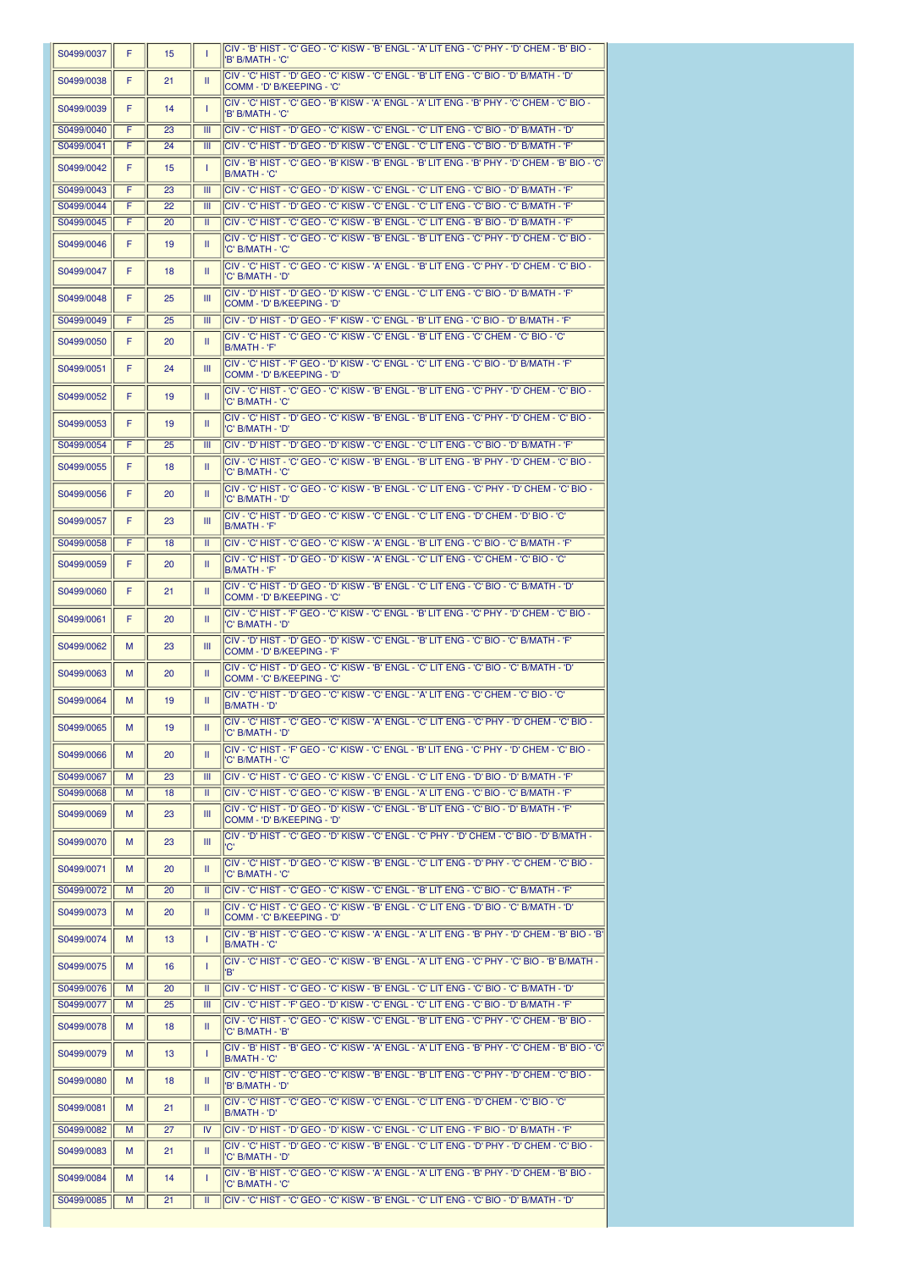| S0499/0037               | F      | 15       | 1                       | UIV - B HIST - U GEO - U KISW - B ENGL - A LITENG - U PHY - D UHEM - B BIO -<br>'B' B/MATH - 'C'                                                                                                   |
|--------------------------|--------|----------|-------------------------|----------------------------------------------------------------------------------------------------------------------------------------------------------------------------------------------------|
| S0499/0038               | F      | 21       | Ш                       | CIV - 'C' HIST - 'D' GEO - 'C' KISW - 'C' ENGL - 'B' LIT ENG - 'C' BIO - 'D' B/MATH - 'D'<br>COMM - 'D' B/KEEPING - 'C'                                                                            |
| S0499/0039               | F      | 14       | т                       | CIV - 'C' HIST - 'C' GEO - 'B' KISW - 'A' ENGL - 'A' LIT ENG - 'B' PHY - 'C' CHEM - 'C' BIO -<br>'B' B/MATH - 'C'                                                                                  |
| S0499/0040               | F      | 23       | Ш                       | CIV - 'C' HIST - 'D' GEO - 'C' KISW - 'C' ENGL - 'C' LIT ENG - 'C' BIO - 'D' B/MATH - 'D'                                                                                                          |
| S0499/0041               | F      | 24       | Ш                       | CIV - 'C' HIST - 'D' GEO - 'D' KISW - 'C' ENGL - 'C' LIT ENG - 'C' BIO - 'D' B/MATH - 'F'<br>.<br>CIV - 'B' HIST - 'C' GEO - 'B' KISW - 'B' ENGL - 'B' LIT ENG - 'B' PHY - 'D' CHEM - 'B' BIO - 'C |
| S0499/0042               | F      | 15       | т                       | B/MATH - 'C'                                                                                                                                                                                       |
| S0499/0043               | F      | 23       | Ш                       | CIV - 'C' HIST - 'C' GEO - 'D' KISW - 'C' ENGL - 'C' LIT ENG - 'C' BIO - 'D' B/MATH - 'F'                                                                                                          |
| S0499/0044<br>S0499/0045 | F<br>F | 22<br>20 | Ш<br>Ш                  | CIV - 'C' HIST - 'D' GEO - 'C' KISW - 'C' ENGL - 'C' LIT ENG - 'C' BIO - 'C' B/MATH - 'F'<br>CIV - 'C' HIST - 'C' GEO - 'C' KISW - 'B' ENGL - 'C' LIT ENG - 'B' BIO - 'D' B/MATH - 'F'             |
| S0499/0046               | F      | 19       | Ш                       | CIV - 'C' HIST - 'C' GEO - 'C' KISW - 'B' ENGL - 'B' LIT ENG - 'C' PHY - 'D' CHEM - 'C' BIO -                                                                                                      |
| S0499/0047               | F      | 18       | Ш                       | 'C' B/MATH - 'C'<br>CIV - 'C' HIST - 'C' GEO - 'C' KISW - 'A' ENGL - 'B' LIT ENG - 'C' PHY - 'D' CHEM - 'C' BIO -<br>'C' B/MATH - 'D'                                                              |
| S0499/0048               | F      | 25       | $\mathbf{m}$            | CIV - 'D' HIST - 'D' GEO - 'D' KISW - 'C' ENGL - 'C' LIT ENG - 'C' BIO - 'D' B/MATH - 'F'<br>COMM - 'D' B/KEEPING - 'D'                                                                            |
| S0499/0049               | F      | 25       | Ш                       | CIV - 'D' HIST - 'D' GEO - 'F' KISW - 'C' ENGL - 'B' LIT ENG - 'C' BIO - 'D' B/MATH - 'F'                                                                                                          |
| S0499/0050               | F      | 20       | Ш                       | CIV - 'C' HIST - 'C' GEO - 'C' KISW - 'C' ENGL - 'B' LIT ENG - 'C' CHEM - 'C' BIO - 'C'                                                                                                            |
|                          |        |          |                         | B/MATH - 'F'<br>CIV - 'C' HIST - 'F' GEO - 'D' KISW - 'C' ENGL - 'C' LIT ENG - 'C' BIO - 'D' B/MATH - 'F'                                                                                          |
| S0499/0051               | F      | 24       | $\mathbf{m}$            | COMM - 'D' B/KEEPING - 'D'<br>CIV - 'C' HIST - 'C' GEO - 'C' KISW - 'B' ENGL - 'B' LIT ENG - 'C' PHY - 'D' CHEM - 'C' BIO -                                                                        |
| S0499/0052               | F      | 19       | Ш                       | 'C' B/MATH - 'C'                                                                                                                                                                                   |
| S0499/0053               | F      | 19       | Ш                       | CIV - 'C' HIST - 'D' GEO - 'C' KISW - 'B' ENGL - 'B' LIT ENG - 'C' PHY - 'D' CHEM - 'C' BIO -<br>'C' B/MATH - 'D'                                                                                  |
| S0499/0054               | F      | 25       | $\mathbf{m}$            | CIV - 'D' HIST - 'D' GEO - 'D' KISW - 'C' ENGL - 'C' LIT ENG - 'C' BIO - 'D' B/MATH - 'F'                                                                                                          |
| S0499/0055               | F      | 18       | Ш                       | - CIV - 'C' HIST - 'C' GEO - 'C' KISW - 'B' ENGL - 'B' LIT ENG - 'B' PHY - 'D' CHEM - 'C' BIO<br>'C' B/MATH - 'C'                                                                                  |
| S0499/0056               | F      | 20       | Ш                       | - CIV - 'C' HIST - 'C' GEO - 'C' KISW - 'B' ENGL - 'C' LIT ENG - 'C' PHY - 'D' CHEM - 'C' BIO<br>'C' B/MATH - 'D'                                                                                  |
| S0499/0057               | F      | 23       | Ш                       | CIV - 'C' HIST - 'D' GEO - 'C' KISW - 'C' ENGL - 'C' LIT ENG - 'D' CHEM - 'D' BIO - 'C'<br>B/MATH - 'F'                                                                                            |
| S0499/0058               | F      | 18       | Ш                       | CIV - 'C' HIST - 'C' GEO - 'C' KISW - 'A' ENGL - 'B' LIT ENG - 'C' BIO - 'C' B/MATH - 'F'                                                                                                          |
| S0499/0059               | F      | 20       | Ш                       | CIV - 'C' HIST - 'D' GEO - 'D' KISW - 'A' ENGL - 'C' LIT ENG - 'C' CHEM - 'C' BIO - 'C'<br>B/MATH - 'F'                                                                                            |
| S0499/0060               | F      | 21       | Ш                       | CIV - 'C' HIST - 'D' GEO - 'D' KISW - 'B' ENGL - 'C' LIT ENG - 'C' BIO - 'C' B/MATH - 'D'<br>COMM - 'D' B/KEEPING - 'C'                                                                            |
| S0499/0061               | F      | 20       | Ш                       | - CIV - 'C' HIST - 'F' GEO - 'C' KISW - 'C' ENGL - 'B' LIT ENG - 'C' PHY - 'D' CHEM - 'C' BIO<br>'C' B/MATH - 'D'                                                                                  |
| S0499/0062               | M      | 23       | Ш                       | CIV - 'D' HIST - 'D' GEO - 'D' KISW - 'C' ENGL - 'B' LIT ENG - 'C' BIO - 'C' B/MATH - 'F'<br>COMM - 'D' B/KEEPING - 'F'                                                                            |
| S0499/0063               | M      | 20       | Ш                       | CIV - 'C' HIST - 'D' GEO - 'C' KISW - 'B' ENGL - 'C' LIT ENG - 'C' BIO - 'C' B/MATH - 'D'<br>COMM - 'C' B/KEEPING - 'C'                                                                            |
| S0499/0064               | M      | 19       | Ш                       | CIV - 'C' HIST - 'D' GEO - 'C' KISW - 'C' ENGL - 'A' LIT ENG - 'C' CHEM - 'C' BIO - 'C'<br>B/MATH - 'D'                                                                                            |
| S0499/0065               | M      | 19       | $\mathbf{H}$            | CIV - 'C' HIST - 'C' GEO - 'C' KISW - 'A' ENGL - 'C' LIT ENG - 'C' PHY - 'D' CHEM - 'C' BIO -<br>'C' B/MATH - 'D'                                                                                  |
| S0499/0066               | м      | 20       | Ш                       | - C'HIST - 'F' GEO - 'C' KISW - 'C' ENGL - 'B' LIT ENG - 'C' PHY - 'D' CHEM - 'C' BIO<br>'C' B/MATH - 'C'                                                                                          |
| S0499/0067               | M      | 23       | Ш                       | CIV - 'C' HIST - 'C' GEO - 'C' KISW - 'C' ENGL - 'C' LIT ENG - 'D' BIO - 'D' B/MATH - 'F'                                                                                                          |
| S0499/0068               | M      | 18       | Ш                       | CIV - 'C' HIST - 'C' GEO - 'C' KISW - 'B' ENGL - 'A' LIT ENG - 'C' BIO - 'C' B/MATH - 'F'                                                                                                          |
| S0499/0069               | M      | 23       | Ш                       | 'C' HIST - 'D' GEO - 'D' KISW - 'C' ENGL - 'B' LIT ENG - 'C' BIO - 'D' B/MATH - 'F<br>COMM - 'D' B/KEEPING - 'D'                                                                                   |
| S0499/0070               | M      | 23       | Ш                       | CIV - 'D' HIST - 'C' GEO - 'D' KISW - 'C' ENGL - 'C' PHY - 'D' CHEM - 'C' BIO - 'D' B/MATH -<br>'C'                                                                                                |
| S0499/0071               | M      | 20       | Ш                       | - CIV - 'C' HIST - 'D' GEO - 'C' KISW - 'B' ENGL - 'C' LIT ENG - 'D' PHY - 'C' CHEM - 'C' BIO<br>'C' B/MATH - 'C'                                                                                  |
| S0499/0072               | M      | 20       | Ш                       | CIV - 'C' HIST - 'C' GEO - 'C' KISW - 'C' ENGL - 'B' LIT ENG - 'C' BIO - 'C' B/MATH - 'F'                                                                                                          |
| S0499/0073               | M      | 20       | Ш                       | CIV - 'C' HIST - 'C' GEO - 'C' KISW - 'B' ENGL - 'C' LIT ENG - 'D' BIO - 'C' B/MATH - 'D'<br>COMM - 'C' B/KEEPING - 'D'                                                                            |
| S0499/0074               | M      | 13       | т                       | CIV - 'B' HIST - 'C' GEO - 'C' KISW - 'A' ENGL - 'A' LIT ENG - 'B' PHY - 'D' CHEM - 'B' BIO - 'E<br>B/MATH - 'C'                                                                                   |
| S0499/0075               | M      | 16       | т                       | CIV - 'C' HIST - 'C' GEO - 'C' KISW - 'B' ENGL - 'A' LIT ENG - 'C' PHY - 'C' BIO - 'B' B/MATH -<br>l'B'                                                                                            |
| S0499/0076               | M      | 20       | $\overline{\mathbf{u}}$ | CIV - 'C' HIST - 'C' GEO - 'C' KISW - 'B' ENGL - 'C' LIT ENG - 'C' BIO - 'C' B/MATH - 'D'                                                                                                          |
| S0499/0077               | M      | 25       | Ш                       | CIV - 'C' HIST - 'F' GEO - 'D' KISW - 'C' ENGL - 'C' LIT ENG - 'C' BIO - 'D' B/MATH - 'F'                                                                                                          |
| S0499/0078               | M      | 18       | Ш                       | CIV - 'C' HIST - 'C' GEO - 'C' KISW - 'C' ENGL - 'B' LIT ENG - 'C' PHY - 'C' CHEM - 'B' BIO -<br>'C' B/MATH - 'B'                                                                                  |
| S0499/0079               | м      | 13       | T                       | CIV - 'B' HIST - 'B' GEO - 'C' KISW - 'A' ENGL - 'A' LIT ENG - 'B' PHY - 'C' CHEM - 'B' BIO - 'C<br>B/MATH - 'C'                                                                                   |
| S0499/0080               | M      | 18       | Ш                       | - C' HIST - 'C' GEO - 'C' KISW - 'B' ENGL - 'B' LIT ENG - 'C' PHY - 'D' CHEM - 'C' BIO<br>'B' B/MATH - 'D'                                                                                         |
| S0499/0081               | м      | 21       | Ш                       | CIV - 'C' HIST - 'C' GEO - 'C' KISW - 'C' ENGL - 'C' LIT ENG - 'D' CHEM - 'C' BIO - 'C'<br>B/MATH - 'D'                                                                                            |
| S0499/0082               | M      | 27       | IV                      | (CIV - 'D' HIST - 'D' GEO - 'D' KISW - 'C' ENGL - 'C' LIT ENG - 'F' BIO - 'D' B/MATH - 'F'                                                                                                         |
| S0499/0083               | M      | 21       | Ш                       | CIV - 'C' HIST - 'D' GEO - 'C' KISW - 'B' ENGL - 'C' LIT ENG - 'D' PHY - 'D' CHEM - 'C' BIO -<br>'C' B/MATH - 'D'                                                                                  |
| S0499/0084               | M      | 14       | T                       | CIV - 'B' HIST - 'C' GEO - 'C' KISW - 'A' ENGL - 'A' LIT ENG - 'B' PHY - 'D' CHEM - 'B' BIO -<br>'C' B/MATH - 'C'                                                                                  |
| S0499/0085               | M      | 21       | Ш                       | CIV - 'C' HIST - 'C' GEO - 'C' KISW - 'B' ENGL - 'C' LIT ENG - 'C' BIO - 'D' B/MATH - 'D'                                                                                                          |
|                          |        |          |                         |                                                                                                                                                                                                    |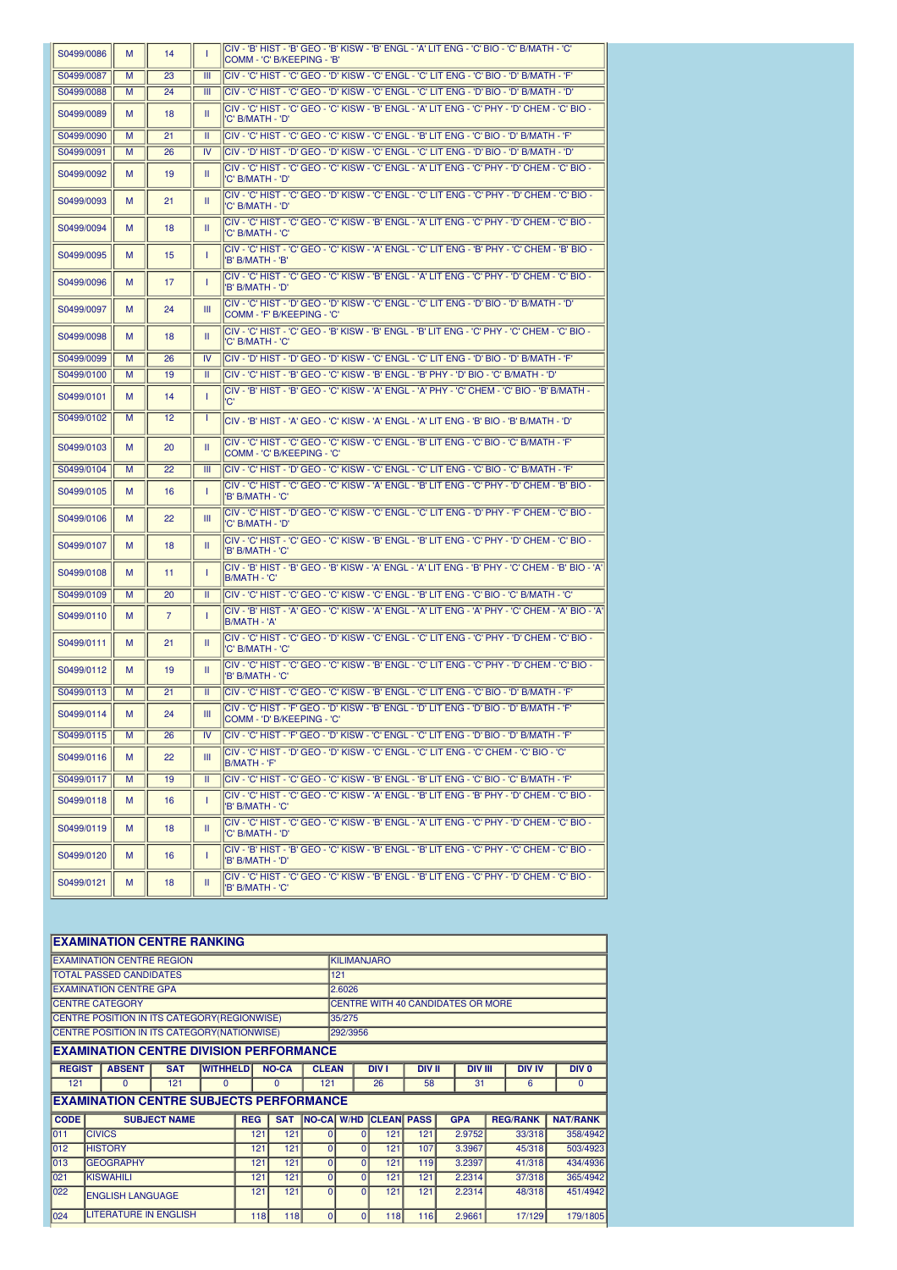| S0499/0086 | M | 14             | T         | 'CIV - 'B' HIST - 'B' GEO - 'B' KISW - 'B' ENGL - 'A' LIT ENG - 'C' BIO - 'C' B/MATH - 'C<br>COMM - 'C' B/KEEPING - 'B' |
|------------|---|----------------|-----------|-------------------------------------------------------------------------------------------------------------------------|
| S0499/0087 | M | 23             | Ш         | CIV - 'C' HIST - 'C' GEO - 'D' KISW - 'C' ENGL - 'C' LIT ENG - 'C' BIO - 'D' B/MATH - 'F'                               |
| S0499/0088 | M | 24             | Ш         | CIV - 'C' HIST - 'C' GEO - 'D' KISW - 'C' ENGL - 'C' LIT ENG - 'D' BIO - 'D' B/MATH - 'D'                               |
| S0499/0089 | M | 18             | Ш         | CIV - 'C' HIST - 'C' GEO - 'C' KISW - 'B' ENGL - 'A' LIT ENG - 'C' PHY - 'D' CHEM - 'C' BIO -<br>'C' B/MATH - 'D'       |
| S0499/0090 | M | 21             | Т         | CIV - 'C' HIST - 'C' GEO - 'C' KISW - 'C' ENGL - 'B' LIT ENG - 'C' BIO - 'D' B/MATH - 'F'                               |
| S0499/0091 | M | 26             | IV        | 'D' + HIST - 'D' GEO - 'D' KISW - 'C' ENGL - 'C' LIT ENG - 'D' BIO - 'D' B/MATH - 'D'                                   |
| S0499/0092 | M | 19             | Ш         | CIV - 'C' HIST - 'C' GEO - 'C' KISW - 'C' ENGL - 'A' LIT ENG - 'C' PHY - 'D' CHEM - 'C' BIO -<br>'C' B/MATH - 'D'       |
| S0499/0093 | M | 21             | Ш         | CIV - 'C' HIST - 'C' GEO - 'D' KISW - 'C' ENGL - 'C' LIT ENG - 'C' PHY - 'D' CHEM - 'C' BIO -<br>'C' B/MATH - 'D'       |
| S0499/0094 | M | 18             | Ш         | - CIV - 'C' HIST - 'C' GEO - 'C' KISW - 'B' ENGL - 'A' LIT ENG - 'C' PHY - 'D' CHEM - 'C' BIO<br>'C' B/MATH - 'C'       |
| S0499/0095 | M | 15             | 1         | CIV - 'C' HIST - 'C' GEO - 'C' KISW - 'A' ENGL - 'C' LIT ENG - 'B' PHY - 'C' CHEM - 'B' BIO -<br>'B' B/MATH - 'B'       |
| S0499/0096 | M | 17             | 1         | CIV - 'C' HIST - 'C' GEO - 'C' KISW - 'B' ENGL - 'A' LIT ENG - 'C' PHY - 'D' CHEM - 'C' BIO -<br>'B' B/MATH - 'D'       |
| S0499/0097 | M | 24             | Ш         | CIV - 'C' HIST - 'D' GEO - 'D' KISW - 'C' ENGL - 'C' LIT ENG - 'D' BIO - 'D' B/MATH - 'D'<br>COMM - 'F' B/KEEPING - 'C' |
| S0499/0098 | M | 18             | Ш         | CIV - 'C' HIST - 'C' GEO - 'B' KISW - 'B' ENGL - 'B' LIT ENG - 'C' PHY - 'C' CHEM - 'C' BIO -<br>'C' B/MATH - 'C'       |
| S0499/0099 | M | 26             | IV        | CIV - 'D' HIST - 'D' GEO - 'D' KISW - 'C' ENGL - 'C' LIT ENG - 'D' BIO - 'D' B/MATH - 'F'                               |
| S0499/0100 | M | 19             | Ш         | CIV - 'C' HIST - 'B' GEO - 'C' KISW - 'B' ENGL - 'B' PHY - 'D' BIO - 'C' B/MATH - 'D'                                   |
| S0499/0101 | M | 14             | T         | CIV - 'B' HIST - 'B' GEO - 'C' KISW - 'A' ENGL - 'A' PHY - 'C' CHEM - 'C' BIO - 'B' B/MATH -<br>'C'                     |
| S0499/0102 | M | 12             | 1         | CIV - 'B' HIST - 'A' GEO - 'C' KISW - 'A' ENGL - 'A' LIT ENG - 'B' BIO - 'B' B/MATH - 'D'                               |
| S0499/0103 | м | 20             | Ш         | CIV - 'C' HIST - 'C' GEO - 'C' KISW - 'C' ENGL - 'B' LIT ENG - 'C' BIO - 'C' B/MATH - 'F'<br>COMM - 'C' B/KEEPING - 'C' |
| S0499/0104 | M | 22             | Ш         | CIV - 'C' HIST - 'D' GEO - 'C' KISW - 'C' ENGL - 'C' LIT ENG - 'C' BIO - 'C' B/MATH - 'F'                               |
| S0499/0105 | M | 16             | T         | CIV - 'C' HIST - 'C' GEO - 'C' KISW - 'A' ENGL - 'B' LIT ENG - 'C' PHY - 'D' CHEM - 'B' BIO -<br>'B' B/MATH - 'C'       |
| S0499/0106 | M | 22             | Ш         | CIV - 'C' HIST - 'D' GEO - 'C' KISW - 'C' ENGL - 'C' LIT ENG - 'D' PHY - 'F' CHEM - 'C' BIO -<br>'C' B/MATH - 'D'       |
| S0499/0107 | M | 18             | Ш         | CIV - 'C' HIST - 'C' GEO - 'C' KISW - 'B' ENGL - 'B' LIT ENG - 'C' PHY - 'D' CHEM - 'C' BIO -<br>'B' B/MATH - 'C'       |
| S0499/0108 | M | 11             | T         | CIV - 'B' HIST - 'B' GEO - 'B' KISW - 'A' ENGL - 'A' LIT ENG - 'B' PHY - 'C' CHEM - 'B' BIO - 'A'<br>B/MATH - 'C'       |
| S0499/0109 | M | 20             | Ш         | CIV - 'C' HIST - 'C' GEO - 'C' KISW - 'C' ENGL - 'B' LIT ENG - 'C' BIO - 'C' B/MATH - 'C'                               |
| S0499/0110 | м | $\overline{7}$ | T         | CIV - 'B' HIST - 'A' GEO - 'C' KISW - 'A' ENGL - 'A' LIT ENG - 'A' PHY - 'C' CHEM - 'A' BIO - 'A'<br>B/MATH - 'A'       |
| S0499/0111 | м | 21             | Ш         | - C'HIST - 'C' GEO - 'D' KISW - 'C' ENGL - 'C' LIT ENG - 'C' PHY - 'D' CHEM - 'C' BIO<br>'C' B/MATH - 'C'               |
| S0499/0112 | м | 19             | Ш         | - C'HIST - 'C' GEO - 'C' KISW - 'B' ENGL - 'C' LIT ENG - 'C' PHY - 'D' CHEM - 'C' BIO<br>'B' B/MATH - 'C'               |
| S0499/0113 | M | 21             | Ш         | CIV - 'C' HIST - 'C' GEO - 'C' KISW - 'B' ENGL - 'C' LIT ENG - 'C' BIO - 'D' B/MATH - 'F'                               |
| S0499/0114 | M | 24             | Ш         | CIV - 'C' HIST - 'F' GEO - 'D' KISW - 'B' ENGL - 'D' LIT ENG - 'D' BIO - 'D' B/MATH - 'F'<br>COMM - 'D' B/KEEPING - 'C' |
| S0499/0115 | м | 26             | <b>IV</b> | CIV - 'C' HIST - 'F' GEO - 'D' KISW - 'C' ENGL - 'C' LIT ENG - 'D' BIO - 'D' B/MATH - 'F'                               |
| S0499/0116 | м | 22             | Ш         | CIV - 'C' HIST - 'D' GEO - 'D' KISW - 'C' ENGL - 'C' LIT ENG - 'C' CHEM - 'C' BIO - 'C'<br>B/MATH - 'F'                 |
| S0499/0117 | M | 19             | Ш         | CIV - 'C' HIST - 'C' GEO - 'C' KISW - 'B' ENGL - 'B' LIT ENG - 'C' BIO - 'C' B/MATH - 'F'                               |
| S0499/0118 | м | 16             | T         | CIV - 'C' HIST - 'C' GEO - 'C' KISW - 'A' ENGL - 'B' LIT ENG - 'B' PHY - 'D' CHEM - 'C' BIO -<br>'B' B/MATH - 'C'       |
| S0499/0119 | М | 18             | Ш         | CIV - 'C' HIST - 'C' GEO - 'C' KISW - 'B' ENGL - 'A' LIT ENG - 'C' PHY - 'D' CHEM - 'C' BIO -<br>'C' B/MATH - 'D'       |
| S0499/0120 | М | 16             | T         | CIV - 'B' HIST - 'B' GEO - 'C' KISW - 'B' ENGL - 'B' LIT ENG - 'C' PHY - 'C' CHEM - 'C' BIO -<br>'B' B/MATH - 'D'       |
| S0499/0121 | M | 18             | Ш         | CIV - 'C' HIST - 'C' GEO - 'C' KISW - 'B' ENGL - 'B' LIT ENG - 'C' PHY - 'D' CHEM - 'C' BIO -<br>'B' B/MATH - 'C'       |

|               | <b>EXAMINATION CENTRE RANKING</b>              |                     |                 |            |              |                   |                    |                   |               |                                          |                 |                    |
|---------------|------------------------------------------------|---------------------|-----------------|------------|--------------|-------------------|--------------------|-------------------|---------------|------------------------------------------|-----------------|--------------------|
|               | <b>EXAMINATION CENTRE REGION</b>               |                     |                 |            |              |                   | <b>KILIMANJARO</b> |                   |               |                                          |                 |                    |
|               | <b>TOTAL PASSED CANDIDATES</b>                 |                     |                 |            |              |                   | 121                |                   |               |                                          |                 |                    |
|               | <b>EXAMINATION CENTRE GPA</b>                  |                     |                 |            |              |                   | 2.6026             |                   |               |                                          |                 |                    |
|               | <b>CENTRE CATEGORY</b>                         |                     |                 |            |              |                   |                    |                   |               | <b>CENTRE WITH 40 CANDIDATES OR MORE</b> |                 |                    |
|               | CENTRE POSITION IN ITS CATEGORY (REGIONWISE)   |                     |                 |            |              |                   | 35/275             |                   |               |                                          |                 |                    |
|               | CENTRE POSITION IN ITS CATEGORY (NATIONWISE)   |                     |                 |            |              |                   | 292/3956           |                   |               |                                          |                 |                    |
|               | <b>EXAMINATION CENTRE DIVISION PERFORMANCE</b> |                     |                 |            |              |                   |                    |                   |               |                                          |                 |                    |
| <b>REGIST</b> | <b>ABSENT</b>                                  | <b>SAT</b>          | <b>WITHHELD</b> |            | <b>NO-CA</b> | <b>CLEAN</b>      |                    | <b>DIV I</b>      | <b>DIV II</b> | <b>DIV III</b>                           | <b>DIV IV</b>   | $DIV$ <sub>0</sub> |
| 121           | 0                                              | 121                 | $\Omega$        |            | 0            | 121               |                    | 26                | 58            | 31                                       | 6               | $\mathbf{0}$       |
|               | <b>EXAMINATION CENTRE SUBJECTS PERFORMANCE</b> |                     |                 |            |              |                   |                    |                   |               |                                          |                 |                    |
| <b>CODE</b>   |                                                | <b>SUBJECT NAME</b> |                 | <b>REG</b> | <b>SAT</b>   | <b>NO-CA W/HD</b> |                    | <b>CLEAN PASS</b> |               | <b>GPA</b>                               | <b>REG/RANK</b> | <b>NAT/RANK</b>    |
| 011           | <b>CIVICS</b>                                  |                     |                 | 121        | 121          | $\Omega$          | $\Omega$           | 121               | 121           | 2.9752                                   | 33/318          | 358/4942           |
| 012           | <b>HISTORY</b>                                 |                     |                 | 121        | 121          | $\Omega$          | $\Omega$           | 121               | 107           | 3.3967                                   | 45/318          | 503/4923           |
| 013           | <b>GEOGRAPHY</b>                               |                     |                 | 121        | 121          | $\Omega$          | 0                  | 121               | 119           | 3.2397                                   | 41/318          | 434/4936           |
| 021           | <b>KISWAHILI</b>                               |                     |                 | 121        | 121          | $\Omega$          | $\overline{0}$     | 121               | 121           | 2.2314                                   | 37/318          | 365/4942           |
| 022           | <b>ENGLISH LANGUAGE</b>                        |                     |                 | 121        | 121          | $\Omega$          | $\Omega$           | 121               | 121           | 2.2314                                   | 48/318          | 451/4942           |
| 024           | <b>LITERATURE IN ENGLISH</b>                   |                     |                 | 118        | 118          | $\Omega$          | $\Omega$           | 118               | 116           | 2.9661                                   | 17/129          | 179/1805           |